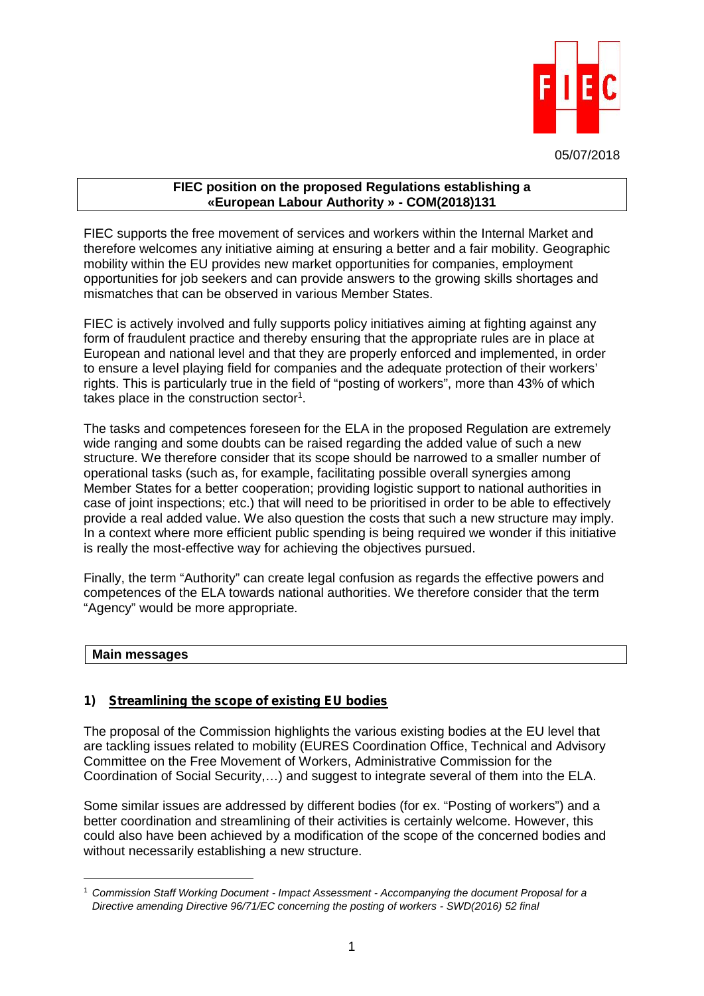

05/07/2018

#### **FIEC position on the proposed Regulations establishing a «European Labour Authority » - COM(2018)131**

FIEC supports the free movement of services and workers within the Internal Market and therefore welcomes any initiative aiming at ensuring a better and a fair mobility. Geographic mobility within the EU provides new market opportunities for companies, employment opportunities for job seekers and can provide answers to the growing skills shortages and mismatches that can be observed in various Member States.

FIEC is actively involved and fully supports policy initiatives aiming at fighting against any form of fraudulent practice and thereby ensuring that the appropriate rules are in place at European and national level and that they are properly enforced and implemented, in order to ensure a level playing field for companies and the adequate protection of their workers' rights. This is particularly true in the field of "posting of workers", more than 43% of which takes place in the construction sector<sup>1</sup>.

The tasks and competences foreseen for the ELA in the proposed Regulation are extremely wide ranging and some doubts can be raised regarding the added value of such a new structure. We therefore consider that its scope should be narrowed to a smaller number of operational tasks (such as, for example, facilitating possible overall synergies among Member States for a better cooperation; providing logistic support to national authorities in case of joint inspections; etc.) that will need to be prioritised in order to be able to effectively provide a real added value. We also question the costs that such a new structure may imply. In a context where more efficient public spending is being required we wonder if this initiative is really the most-effective way for achieving the objectives pursued.

Finally, the term "Authority" can create legal confusion as regards the effective powers and competences of the ELA towards national authorities. We therefore consider that the term "Agency" would be more appropriate.

# **Main messages**

# *1) Streamlining the scope of existing EU bodies*

The proposal of the Commission highlights the various existing bodies at the EU level that are tackling issues related to mobility (EURES Coordination Office, Technical and Advisory Committee on the Free Movement of Workers, Administrative Commission for the Coordination of Social Security,…) and suggest to integrate several of them into the ELA.

Some similar issues are addressed by different bodies (for ex. "Posting of workers") and a better coordination and streamlining of their activities is certainly welcome. However, this could also have been achieved by a modification of the scope of the concerned bodies and without necessarily establishing a new structure.

<sup>1</sup> *Commission Staff Working Document - Impact Assessment - Accompanying the document Proposal for a Directive amending Directive 96/71/EC concerning the posting of workers - SWD(2016) 52 final*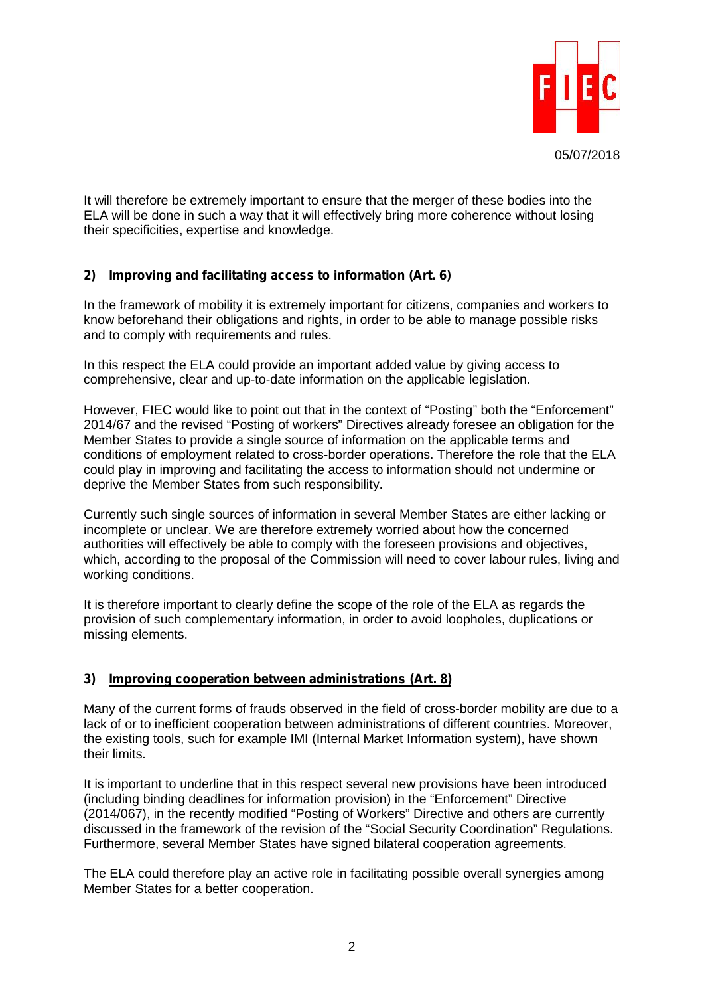

It will therefore be extremely important to ensure that the merger of these bodies into the ELA will be done in such a way that it will effectively bring more coherence without losing their specificities, expertise and knowledge.

# *2) Improving and facilitating access to information (Art. 6)*

In the framework of mobility it is extremely important for citizens, companies and workers to know beforehand their obligations and rights, in order to be able to manage possible risks and to comply with requirements and rules.

In this respect the ELA could provide an important added value by giving access to comprehensive, clear and up-to-date information on the applicable legislation.

However, FIEC would like to point out that in the context of "Posting" both the "Enforcement" 2014/67 and the revised "Posting of workers" Directives already foresee an obligation for the Member States to provide a single source of information on the applicable terms and conditions of employment related to cross-border operations. Therefore the role that the ELA could play in improving and facilitating the access to information should not undermine or deprive the Member States from such responsibility.

Currently such single sources of information in several Member States are either lacking or incomplete or unclear. We are therefore extremely worried about how the concerned authorities will effectively be able to comply with the foreseen provisions and objectives, which, according to the proposal of the Commission will need to cover labour rules, living and working conditions.

It is therefore important to clearly define the scope of the role of the ELA as regards the provision of such complementary information, in order to avoid loopholes, duplications or missing elements.

# *3) Improving cooperation between administrations (Art. 8)*

Many of the current forms of frauds observed in the field of cross-border mobility are due to a lack of or to inefficient cooperation between administrations of different countries. Moreover, the existing tools, such for example IMI (Internal Market Information system), have shown their limits.

It is important to underline that in this respect several new provisions have been introduced (including binding deadlines for information provision) in the "Enforcement" Directive (2014/067), in the recently modified "Posting of Workers" Directive and others are currently discussed in the framework of the revision of the "Social Security Coordination" Regulations. Furthermore, several Member States have signed bilateral cooperation agreements.

The ELA could therefore play an active role in facilitating possible overall synergies among Member States for a better cooperation.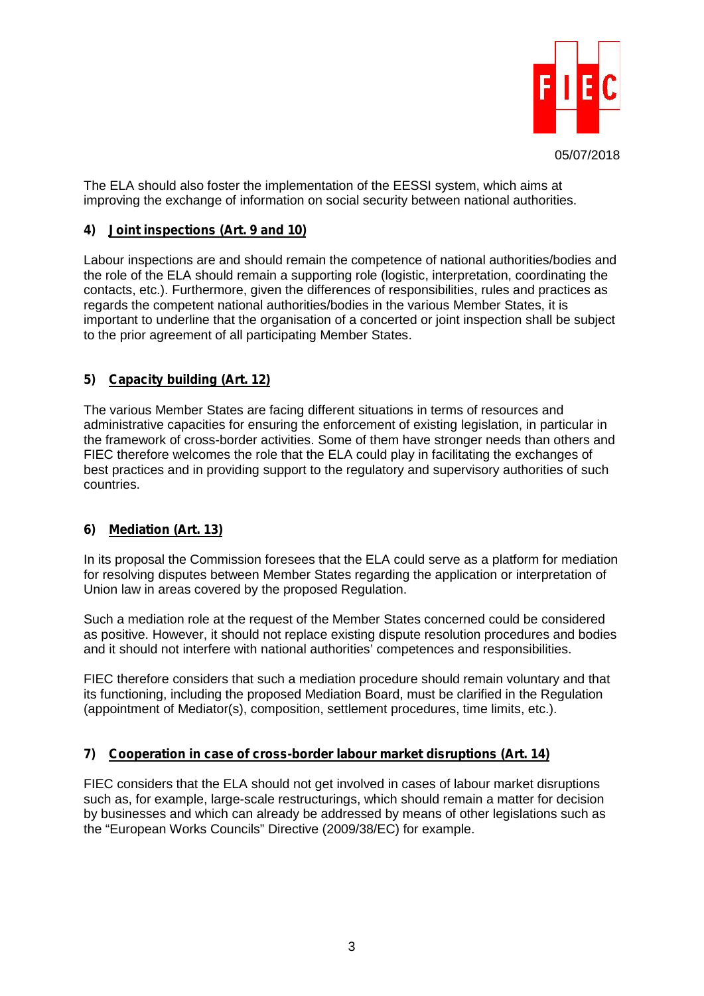

The ELA should also foster the implementation of the EESSI system, which aims at improving the exchange of information on social security between national authorities.

### *4) Joint inspections (Art. 9 and 10)*

Labour inspections are and should remain the competence of national authorities/bodies and the role of the ELA should remain a supporting role (logistic, interpretation, coordinating the contacts, etc.). Furthermore, given the differences of responsibilities, rules and practices as regards the competent national authorities/bodies in the various Member States, it is important to underline that the organisation of a concerted or joint inspection shall be subject to the prior agreement of all participating Member States.

# *5) Capacity building (Art. 12)*

The various Member States are facing different situations in terms of resources and administrative capacities for ensuring the enforcement of existing legislation, in particular in the framework of cross-border activities. Some of them have stronger needs than others and FIEC therefore welcomes the role that the ELA could play in facilitating the exchanges of best practices and in providing support to the regulatory and supervisory authorities of such countries.

# *6) Mediation (Art. 13)*

In its proposal the Commission foresees that the ELA could serve as a platform for mediation for resolving disputes between Member States regarding the application or interpretation of Union law in areas covered by the proposed Regulation.

Such a mediation role at the request of the Member States concerned could be considered as positive. However, it should not replace existing dispute resolution procedures and bodies and it should not interfere with national authorities' competences and responsibilities.

FIEC therefore considers that such a mediation procedure should remain voluntary and that its functioning, including the proposed Mediation Board, must be clarified in the Regulation (appointment of Mediator(s), composition, settlement procedures, time limits, etc.).

# *7) Cooperation in case of cross-border labour market disruptions (Art. 14)*

FIEC considers that the ELA should not get involved in cases of labour market disruptions such as, for example, large-scale restructurings, which should remain a matter for decision by businesses and which can already be addressed by means of other legislations such as the "European Works Councils" Directive (2009/38/EC) for example.